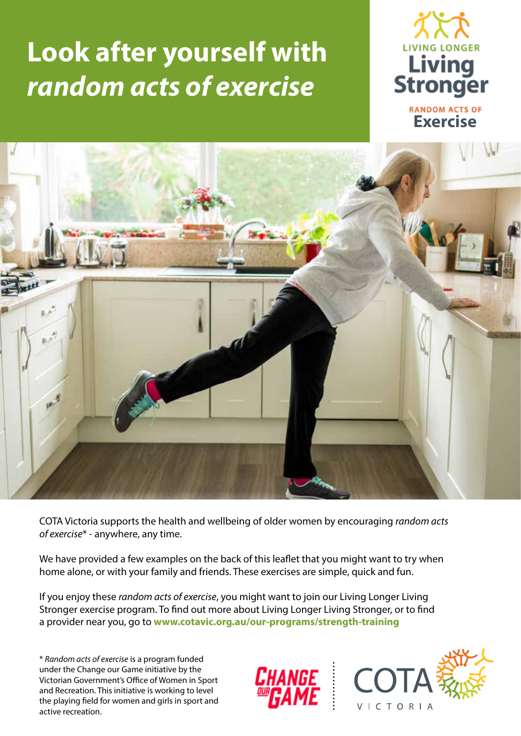## **Look after yourself with**  *random acts of exercise*





COTA Victoria supports the health and wellbeing of older women by encouraging *random acts of exercise*\* - anywhere, any time.

We have provided a few examples on the back of this leaflet that you might want to try when home alone, or with your family and friends. These exercises are simple, quick and fun.

If you enjoy these *random acts of exercise*, you might want to join our Living Longer Living Stronger exercise program. To find out more about Living Longer Living Stronger, or to find a provider near you, go to **www.cotavic.org.au/our-programs/strength-training**

\* *Random acts of exercise* is a program funded under the Change our Game initiative by the Victorian Government's Office of Women in Sport and Recreation. This initiative is working to level the playing field for women and girls in sport and active recreation.